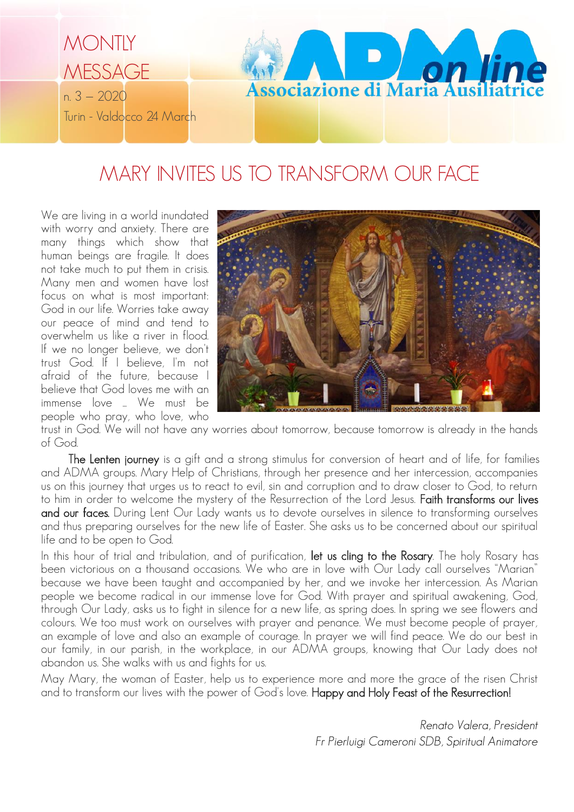

## MARY INVITES US TO TRANSFORM OUR FACE

We are living in a world inundated with worry and anxiety. There are many things which show that human beings are fragile. It does not take much to put them in crisis. Many men and women have lost focus on what is most important: God in our life. Worries take away our peace of mind and tend to overwhelm us like a river in flood. If we no longer believe, we don't trust God. If I believe, I'm not afraid of the future, because I believe that God loves me with an immense love ... We must be people who pray, who love, who



trust in God. We will not have any worries about tomorrow, because tomorrow is already in the hands of God.

The Lenten journey is a gift and a strong stimulus for conversion of heart and of life, for families and ADMA groups. Mary Help of Christians, through her presence and her intercession, accompanies us on this journey that urges us to react to evil, sin and corruption and to draw closer to God, to return to him in order to welcome the mystery of the Resurrection of the Lord Jesus. Faith transforms our lives and our faces. During Lent Our Lady wants us to devote ourselves in silence to transforming ourselves and thus preparing ourselves for the new life of Easter. She asks us to be concerned about our spiritual life and to be open to God.

In this hour of trial and tribulation, and of purification, let us cling to the Rosary. The holy Rosary has been victorious on a thousand occasions. We who are in love with Our Lady call ourselves "Marian" because we have been taught and accompanied by her, and we invoke her intercession. As Marian people we become radical in our immense love for God. With prayer and spiritual awakening, God, through Our Lady, asks us to fight in silence for a new life, as spring does. In spring we see flowers and colours. We too must work on ourselves with prayer and penance. We must become people of prayer, an example of love and also an example of courage. In prayer we will find peace. We do our best in our family, in our parish, in the workplace, in our ADMA groups, knowing that Our Lady does not abandon us. She walks with us and fights for us.

May Mary, the woman of Easter, help us to experience more and more the grace of the risen Christ and to transform our lives with the power of God's love. Happy and Holy Feast of the Resurrection!

> *Renato Valera, President Fr Pierluigi Cameroni SDB, Spiritual Animatore*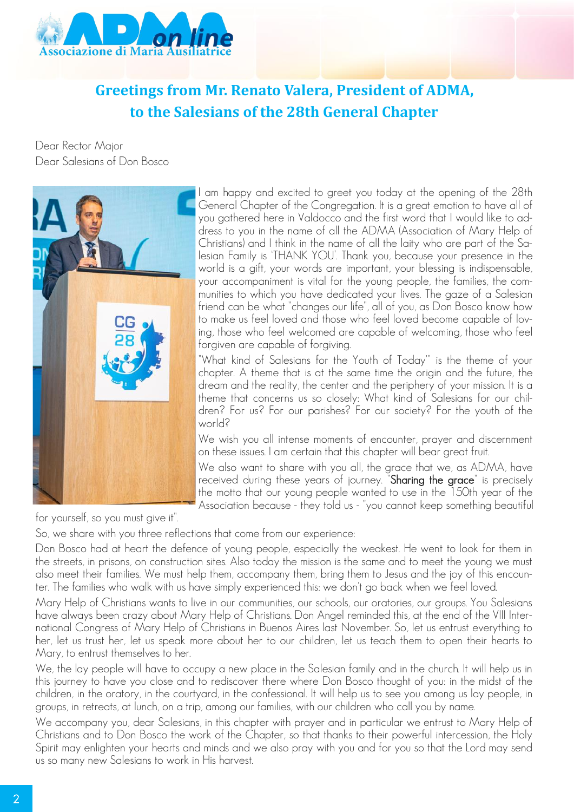

## **Greetings from Mr. Renato Valera, President of ADMA, to the Salesians of the 28th General Chapter**

Dear Rector Major Dear Salesians of Don Bosco



I am happy and excited to greet you today at the opening of the 28th General Chapter of the Congregation. It is a great emotion to have all of you gathered here in Valdocco and the first word that I would like to address to you in the name of all the ADMA (Association of Mary Help of Christians) and I think in the name of all the laity who are part of the Salesian Family is 'THANK YOU'. Thank you, because your presence in the world is a gift, your words are important, your blessing is indispensable, your accompaniment is vital for the young people, the families, the communities to which you have dedicated your lives. The gaze of a Salesian friend can be what "changes our life", all of you, as Don Bosco know how to make us feel loved and those who feel loved become capable of loving, those who feel welcomed are capable of welcoming, those who feel forgiven are capable of forgiving.

"What kind of Salesians for the Youth of Today'" is the theme of your chapter. A theme that is at the same time the origin and the future, the dream and the reality, the center and the periphery of your mission. It is a theme that concerns us so closely: What kind of Salesians for our children? For us? For our parishes? For our society? For the youth of the world?

We wish you all intense moments of encounter, prayer and discernment on these issues. I am certain that this chapter will bear great fruit.

We also want to share with you all, the grace that we, as ADMA, have received during these years of journey. "Sharing the grace" is precisely the motto that our young people wanted to use in the 150th year of the Association because - they told us - "you cannot keep something beautiful

for yourself, so you must give it".

So, we share with you three reflections that come from our experience:

Don Bosco had at heart the defence of young people, especially the weakest. He went to look for them in the streets, in prisons, on construction sites. Also today the mission is the same and to meet the young we must also meet their families. We must help them, accompany them, bring them to Jesus and the joy of this encounter. The families who walk with us have simply experienced this: we don't go back when we feel loved.

Mary Help of Christians wants to live in our communities, our schools, our oratories, our groups. You Salesians have always been crazy about Mary Help of Christians. Don Angel reminded this, at the end of the VIII International Congress of Mary Help of Christians in Buenos Aires last November. So, let us entrust everything to her, let us trust her, let us speak more about her to our children, let us teach them to open their hearts to Mary, to entrust themselves to her.

We, the lay people will have to occupy a new place in the Salesian family and in the church. It will help us in this journey to have you close and to rediscover there where Don Bosco thought of you: in the midst of the children, in the oratory, in the courtyard, in the confessional. It will help us to see you among us lay people, in groups, in retreats, at lunch, on a trip, among our families, with our children who call you by name.

We accompany you, dear Salesians, in this chapter with prayer and in particular we entrust to Mary Help of Christians and to Don Bosco the work of the Chapter, so that thanks to their powerful intercession, the Holy Spirit may enlighten your hearts and minds and we also pray with you and for you so that the Lord may send us so many new Salesians to work in His harvest.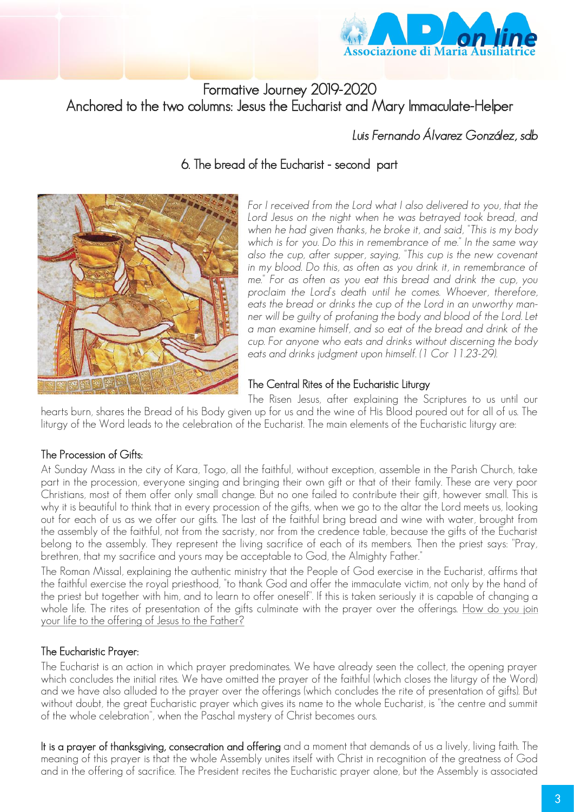

## Formative Journey 2019-2020 Anchored to the two columns: Jesus the Eucharist and Mary Immaculate-Helper

## *Luis Fernando Álvarez González, sdb*

### 6. The bread of the Eucharist - second part



*For I received from the Lord what I also delivered to you, that the Lord Jesus on the night when he was betrayed took bread, and when he had given thanks, he broke it, and said, "This is my body which is for you. Do this in remembrance of me." In the same way also the cup, after supper, saying, "This cup is the new covenant in my blood. Do this, as often as you drink it, in remembrance of me." For as often as you eat this bread and drink the cup, you proclaim the Lord's death until he comes. Whoever, therefore, eats the bread or drinks the cup of the Lord in an unworthy manner will be guilty of profaning the body and blood of the Lord. Let a man examine himself, and so eat of the bread and drink of the cup. For anyone who eats and drinks without discerning the body eats and drinks judgment upon himself. (1 Cor 11.23-29).*

#### The Central Rites of the Eucharistic Liturgy

The Risen Jesus, after explaining the Scriptures to us until our hearts burn, shares the Bread of his Body given up for us and the wine of His Blood poured out for all of us. The liturgy of the Word leads to the celebration of the Eucharist. The main elements of the Eucharistic liturgy are:

#### The Procession of Gifts:

At Sunday Mass in the city of Kara, Togo, all the faithful, without exception, assemble in the Parish Church, take part in the procession, everyone singing and bringing their own gift or that of their family. These are very poor Christians, most of them offer only small change. But no one failed to contribute their gift, however small. This is why it is beautiful to think that in every procession of the gifts, when we go to the altar the Lord meets us, looking out for each of us as we offer our gifts. The last of the faithful bring bread and wine with water, brought from the assembly of the faithful, not from the sacristy, nor from the credence table, because the gifts of the Eucharist belong to the assembly. They represent the living sacrifice of each of its members. Then the priest says: "Pray, brethren, that my sacrifice and yours may be acceptable to God, the Almighty Father."

The Roman Missal, explaining the authentic ministry that the People of God exercise in the Eucharist, affirms that the faithful exercise the royal priesthood, "to thank God and offer the immaculate victim, not only by the hand of the priest but together with him, and to learn to offer oneself". If this is taken seriously it is capable of changing a whole life. The rites of presentation of the gifts culminate with the prayer over the offerings. How do you join your life to the offering of Jesus to the Father?

#### The Eucharistic Prayer:

The Eucharist is an action in which prayer predominates. We have already seen the collect, the opening prayer which concludes the initial rites. We have omitted the prayer of the faithful (which closes the liturgy of the Word) and we have also alluded to the prayer over the offerings (which concludes the rite of presentation of gifts). But without doubt, the great Eucharistic prayer which gives its name to the whole Eucharist, is "the centre and summit of the whole celebration", when the Paschal mystery of Christ becomes ours.

It is a prayer of thanksgiving, consecration and offering and a moment that demands of us a lively, living faith. The meaning of this prayer is that the whole Assembly unites itself with Christ in recognition of the greatness of God and in the offering of sacrifice. The President recites the Eucharistic prayer alone, but the Assembly is associated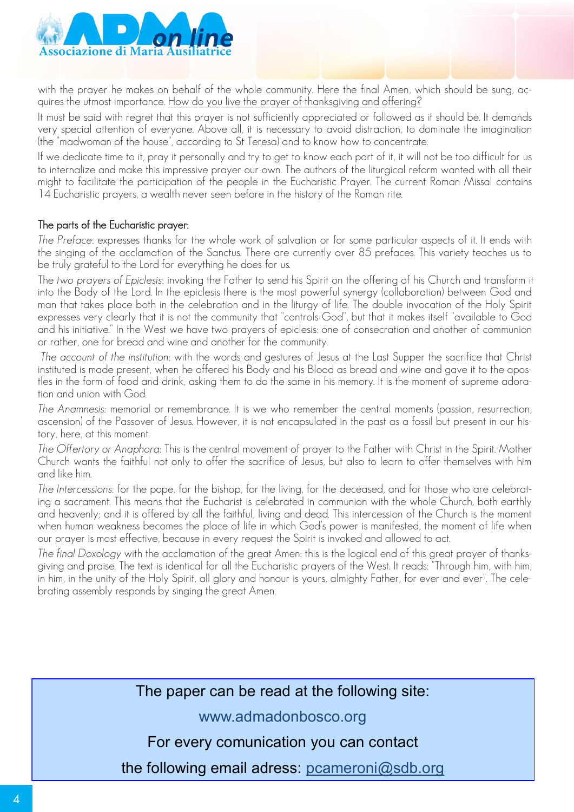

with the prayer he makes on behalf of the whole community. Here the final Amen, which should be sung, acquires the utmost importance. How do you live the prayer of thanksgiving and offering?

It must be said with regret that this prayer is not sufficiently appreciated or followed as it should be. It demands very special attention of everyone. Above all, it is necessary to avoid distraction, to dominate the imagination (the "madwoman of the house", according to St Teresa) and to know how to concentrate.

If we dedicate time to it, pray it personally and try to get to know each part of it, it will not be too difficult for us to internalize and make this impressive prayer our own. The authors of the liturgical reform wanted with all their might to facilitate the participation of the people in the Eucharistic Prayer. The current Roman Missal contains 14 Eucharistic prayers, a wealth never seen before in the history of the Roman rite.

#### The parts of the Eucharistic prayer:

*The Preface*: expresses thanks for the whole work of salvation or for some particular aspects of it. It ends with the singing of the acclamation of the Sanctus. There are currently over 85 prefaces. This variety teaches us to be truly grateful to the Lord for everything he does for us.

The *two prayers of Epiclesis*: invoking the Father to send his Spirit on the offering of his Church and transform it into the Body of the Lord. In the epiclesis there is the most powerful synergy (collaboration) between God and man that takes place both in the celebration and in the liturgy of life. The double invocation of the Holy Spirit expresses very clearly that it is not the community that "controls God", but that it makes itself "available to God and his initiative." In the West we have two prayers of epiclesis: one of consecration and another of communion or rather, one for bread and wine and another for the community.

*The account of the institution*: with the words and gestures of Jesus at the Last Supper the sacrifice that Christ instituted is made present, when he offered his Body and his Blood as bread and wine and gave it to the apostles in the form of food and drink, asking them to do the same in his memory. It is the moment of supreme adoration and union with God.

*The Anamnesis:* memorial or remembrance. It is we who remember the central moments (passion, resurrection, ascension) of the Passover of Jesus. However, it is not encapsulated in the past as a fossil but present in our history, here, at this moment.

*The Offertory or Anaphora*: This is the central movement of prayer to the Father with Christ in the Spirit. Mother Church wants the faithful not only to offer the sacrifice of Jesus, but also to learn to offer themselves with him and like him.

*The Intercessions:* for the pope, for the bishop, for the living, for the deceased, and for those who are celebrating a sacrament. This means that the Eucharist is celebrated in communion with the whole Church, both earthly and heavenly; and it is offered by all the faithful, living and dead. This intercession of the Church is the moment when human weakness becomes the place of life in which God's power is manifested, the moment of life when our prayer is most effective, because in every request the Spirit is invoked and allowed to act.

*The final Doxology* with the acclamation of the great Amen: this is the logical end of this great prayer of thanksgiving and praise. The text is identical for all the Eucharistic prayers of the West. It reads: "Through him, with him, in him, in the unity of the Holy Spirit, all glory and honour is yours, almighty Father, for ever and ever". The celebrating assembly responds by singing the great Amen.

The paper can be read at the following site:

www.admadonbosco.org

For every comunication you can contact

the following email adress: pcameroni@sdb.org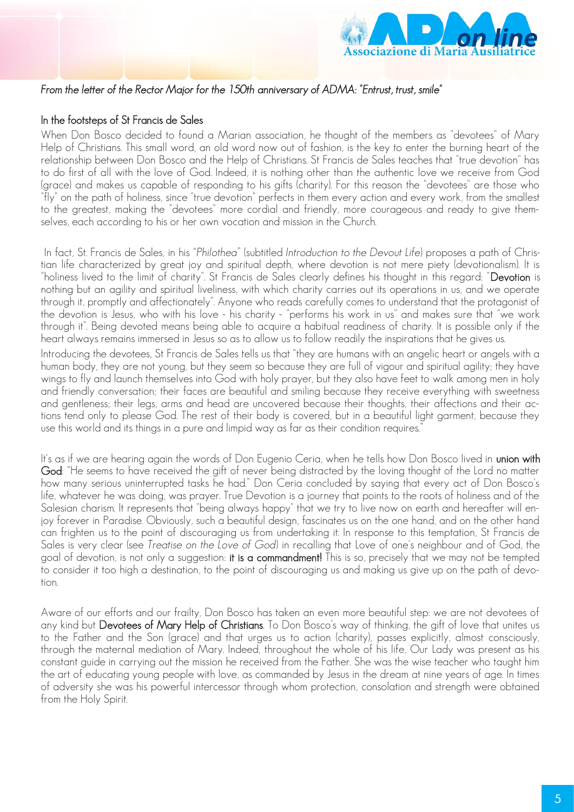

#### *From the letter of the Rector Major for the 150th anniversary of ADMA: "Entrust, trust, smile"*

#### In the footsteps of St Francis de Sales

When Don Bosco decided to found a Marian association, he thought of the members as "devotees" of Mary Help of Christians. This small word, an old word now out of fashion, is the key to enter the burning heart of the relationship between Don Bosco and the Help of Christians. St Francis de Sales teaches that "true devotion" has to do first of all with the love of God. Indeed, it is nothing other than the authentic love we receive from God (grace) and makes us capable of responding to his gifts (charity). For this reason the "devotees" are those who "fly" on the path of holiness, since "true devotion" perfects in them every action and every work, from the smallest to the greatest, making the "devotees" more cordial and friendly, more courageous and ready to give themselves, each according to his or her own vocation and mission in the Church.

In fact, St. Francis de Sales, in his "*Philothea*" (subtitled *Introduction to the Devout Life*) proposes a path of Christian life characterized by great joy and spiritual depth, where devotion is not mere piety (devotionalism). It is "holiness lived to the limit of charity". St Francis de Sales clearly defines his thought in this regard: "Devotion is nothing but an agility and spiritual liveliness, with which charity carries out its operations in us, and we operate through it, promptly and affectionately". Anyone who reads carefully comes to understand that the protagonist of the devotion is Jesus, who with his love - his charity - "performs his work in us" and makes sure that "we work through it". Being devoted means being able to acquire a habitual readiness of charity. It is possible only if the heart always remains immersed in Jesus so as to allow us to follow readily the inspirations that he gives us.

Introducing the devotees, St Francis de Sales tells us that "they are humans with an angelic heart or angels with a human body, they are not young, but they seem so because they are full of vigour and spiritual agility; they have wings to fly and launch themselves into God with holy prayer, but they also have feet to walk among men in holy and friendly conversation; their faces are beautiful and smiling because they receive everything with sweetness and gentleness; their legs, arms and head are uncovered because their thoughts, their affections and their actions tend only to please God. The rest of their body is covered, but in a beautiful light garment, because they use this world and its things in a pure and limpid way as far as their condition requires.

It's as if we are hearing again the words of Don Eugenio Ceria, when he tells how Don Bosco lived in union with God: "He seems to have received the gift of never being distracted by the loving thought of the Lord no matter how many serious uninterrupted tasks he had." Don Ceria concluded by saying that every act of Don Bosco's life, whatever he was doing, was prayer. True Devotion is a journey that points to the roots of holiness and of the Salesian charism. It represents that "being always happy" that we try to live now on earth and hereafter will enjoy forever in Paradise. Obviously, such a beautiful design, fascinates us on the one hand, and on the other hand can frighten us to the point of discouraging us from undertaking it. In response to this temptation, St Francis de Sales is very clear (see *Treatise on the Love of God*) in recalling that Love of one's neighbour and of God, the goal of devotion, is not only a suggestion: it is a commandment! This is so, precisely that we may not be tempted to consider it too high a destination, to the point of discouraging us and making us give up on the path of devotion.

Aware of our efforts and our frailty, Don Bosco has taken an even more beautiful step: we are not devotees of any kind but Devotees of Mary Help of Christians. To Don Bosco's way of thinking, the gift of love that unites us to the Father and the Son (grace) and that urges us to action (charity), passes explicitly, almost consciously, through the maternal mediation of Mary. Indeed, throughout the whole of his life, Our Lady was present as his constant guide in carrying out the mission he received from the Father. She was the wise teacher who taught him the art of educating young people with love, as commanded by Jesus in the dream at nine years of age. In times of adversity she was his powerful intercessor through whom protection, consolation and strength were obtained from the Holy Spirit.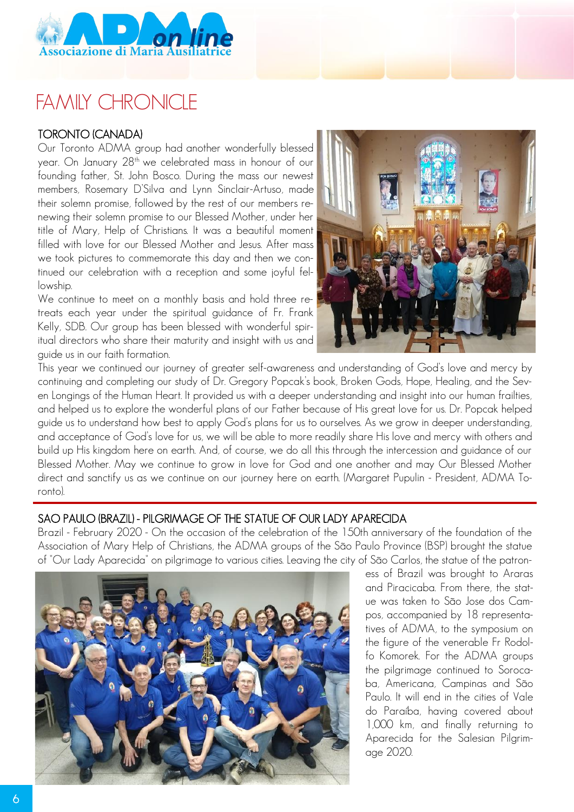

# FAMILY CHRONICLE

#### TORONTO (CANADA)

Our Toronto ADMA group had another wonderfully blessed year. On January 28<sup>th</sup> we celebrated mass in honour of our founding father, St. John Bosco. During the mass our newest members, Rosemary D'Silva and Lynn Sinclair-Artuso, made their solemn promise, followed by the rest of our members renewing their solemn promise to our Blessed Mother, under her title of Mary, Help of Christians. It was a beautiful moment filled with love for our Blessed Mother and Jesus. After mass we took pictures to commemorate this day and then we continued our celebration with a reception and some joyful fellowship.

We continue to meet on a monthly basis and hold three retreats each year under the spiritual guidance of Fr. Frank Kelly, SDB. Our group has been blessed with wonderful spiritual directors who share their maturity and insight with us and guide us in our faith formation.



This year we continued our journey of greater self-awareness and understanding of God's love and mercy by continuing and completing our study of Dr. Gregory Popcak's book, Broken Gods, Hope, Healing, and the Seven Longings of the Human Heart. It provided us with a deeper understanding and insight into our human frailties, and helped us to explore the wonderful plans of our Father because of His great love for us. Dr. Popcak helped guide us to understand how best to apply God's plans for us to ourselves. As we grow in deeper understanding, and acceptance of God's love for us, we will be able to more readily share His love and mercy with others and build up His kingdom here on earth. And, of course, we do all this through the intercession and guidance of our Blessed Mother. May we continue to grow in love for God and one another and may Our Blessed Mother direct and sanctify us as we continue on our journey here on earth. (Margaret Pupulin - President, ADMA Toronto).

### SAO PAULO (BRAZIL) - PILGRIMAGE OF THE STATUE OF OUR LADY APARECIDA

Brazil - February 2020 - On the occasion of the celebration of the 150th anniversary of the foundation of the Association of Mary Help of Christians, the ADMA groups of the São Paulo Province (BSP) brought the statue of "Our Lady Aparecida" on pilgrimage to various cities. Leaving the city of São Carlos, the statue of the patron-



ess of Brazil was brought to Araras and Piracicaba. From there, the statue was taken to São Jose dos Campos, accompanied by 18 representatives of ADMA, to the symposium on the figure of the venerable Fr Rodolfo Komorek. For the ADMA groups the pilgrimage continued to Sorocaba, Americana, Campinas and São Paulo. It will end in the cities of Vale do Paraíba, having covered about 1,000 km, and finally returning to Aparecida for the Salesian Pilgrimage 2020.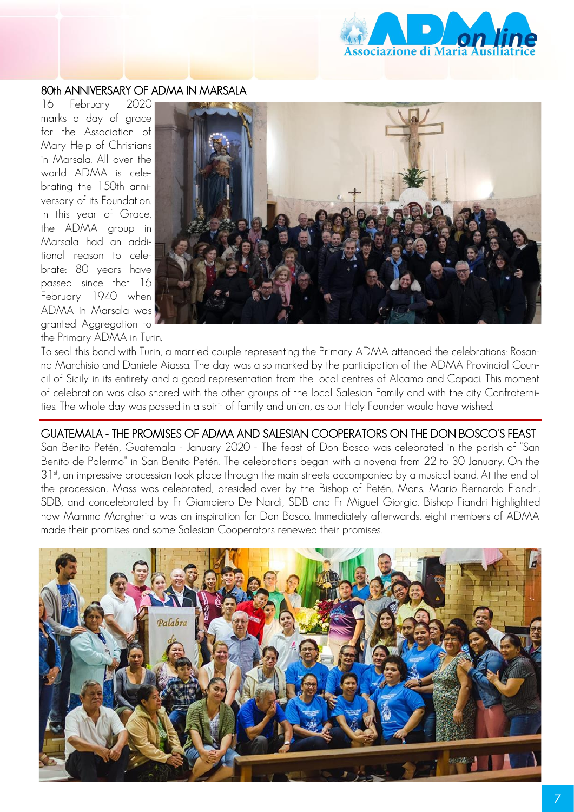

#### 80th ANNIVERSARY OF ADMA IN MARSALA

16 February 2020 marks a day of grace for the Association of Mary Help of Christians in Marsala. All over the world ADMA is celebrating the 150th anniversary of its Foundation. In this year of Grace, the ADMA group in Marsala had an additional reason to celebrate: 80 years have passed since that 16 February 1940 when ADMA in Marsala was granted Aggregation to the Primary ADMA in Turin.



To seal this bond with Turin, a married couple representing the Primary ADMA attended the celebrations: Rosanna Marchisio and Daniele Aiassa. The day was also marked by the participation of the ADMA Provincial Council of Sicily in its entirety and a good representation from the local centres of Alcamo and Capaci. This moment of celebration was also shared with the other groups of the local Salesian Family and with the city Confraternities. The whole day was passed in a spirit of family and union, as our Holy Founder would have wished.

GUATEMALA - THE PROMISES OF ADMA AND SALESIAN COOPERATORS ON THE DON BOSCO'S FEAST San Benito Petén, Guatemala - January 2020 - The feast of Don Bosco was celebrated in the parish of "San Benito de Palermo" in San Benito Petén. The celebrations began with a novena from 22 to 30 January. On the 3<sup>1st</sup>, an impressive procession took place through the main streets accompanied by a musical band. At the end of the procession, Mass was celebrated, presided over by the Bishop of Petén, Mons. Mario Bernardo Fiandri, SDB, and concelebrated by Fr Giampiero De Nardi, SDB and Fr Miguel Giorgio. Bishop Fiandri highlighted how Mamma Margherita was an inspiration for Don Bosco. Immediately afterwards, eight members of ADMA made their promises and some Salesian Cooperators renewed their promises.